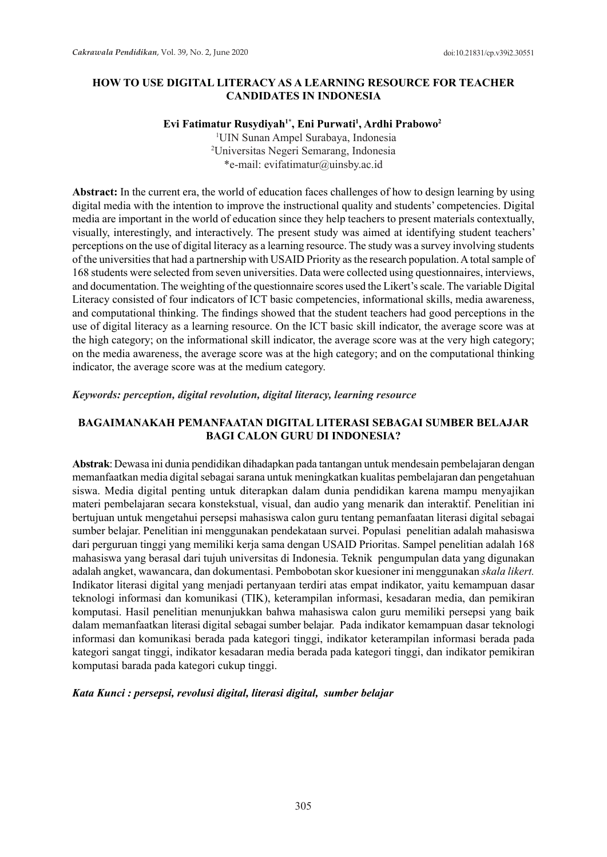## **HOW TO USE DIGITAL LITERACY AS A LEARNING RESOURCE FOR TEACHER CANDIDATES IN INDONESIA**

## **Evi Fatimatur Rusydiyah1\*, Eni Purwati<sup>1</sup> , Ardhi Prabowo<sup>2</sup>**

 1 UIN Sunan Ampel Surabaya, Indonesia 2 Universitas Negeri Semarang, Indonesia \*e-mail: evifatimatur@uinsby.ac.id

**Abstract:** In the current era, the world of education faces challenges of how to design learning by using digital media with the intention to improve the instructional quality and students' competencies. Digital media are important in the world of education since they help teachers to present materials contextually, visually, interestingly, and interactively. The present study was aimed at identifying student teachers' perceptions on the use of digital literacy as a learning resource. The study was a survey involving students of the universities that had a partnership with USAID Priority as the research population. A total sample of 168 students were selected from seven universities. Data were collected using questionnaires, interviews, and documentation. The weighting of the questionnaire scores used the Likert's scale. The variable Digital Literacy consisted of four indicators of ICT basic competencies, informational skills, media awareness, and computational thinking. The findings showed that the student teachers had good perceptions in the use of digital literacy as a learning resource. On the ICT basic skill indicator, the average score was at the high category; on the informational skill indicator, the average score was at the very high category; on the media awareness, the average score was at the high category; and on the computational thinking indicator, the average score was at the medium category.

#### *Keywords: perception, digital revolution, digital literacy, learning resource*

## **BAGAIMANAKAH PEMANFAATAN DIGITAL LITERASI SEBAGAI SUMBER BELAJAR BAGI CALON GURU DI INDONESIA?**

**Abstrak**:Dewasa ini dunia pendidikan dihadapkan pada tantangan untuk mendesain pembelajaran dengan memanfaatkan media digital sebagai sarana untuk meningkatkan kualitas pembelajaran dan pengetahuan siswa. Media digital penting untuk diterapkan dalam dunia pendidikan karena mampu menyajikan materi pembelajaran secara konstekstual, visual, dan audio yang menarik dan interaktif. Penelitian ini bertujuan untuk mengetahui persepsi mahasiswa calon guru tentang pemanfaatan literasi digital sebagai sumber belajar. Penelitian ini menggunakan pendekataan survei. Populasi penelitian adalah mahasiswa dari perguruan tinggi yang memiliki kerja sama dengan USAID Prioritas. Sampel penelitian adalah 168 mahasiswa yang berasal dari tujuh universitas di Indonesia. Teknik pengumpulan data yang digunakan adalah angket, wawancara, dan dokumentasi. Pembobotan skor kuesioner ini menggunakan *skala likert.*  Indikator literasi digital yang menjadi pertanyaan terdiri atas empat indikator, yaitu kemampuan dasar teknologi informasi dan komunikasi (TIK), keterampilan informasi, kesadaran media, dan pemikiran komputasi. Hasil penelitian menunjukkan bahwa mahasiswa calon guru memiliki persepsi yang baik dalam memanfaatkan literasi digital sebagai sumber belajar. Pada indikator kemampuan dasar teknologi informasi dan komunikasi berada pada kategori tinggi, indikator keterampilan informasi berada pada kategori sangat tinggi, indikator kesadaran media berada pada kategori tinggi, dan indikator pemikiran komputasi barada pada kategori cukup tinggi.

#### *Kata Kunci : persepsi, revolusi digital, literasi digital, sumber belajar*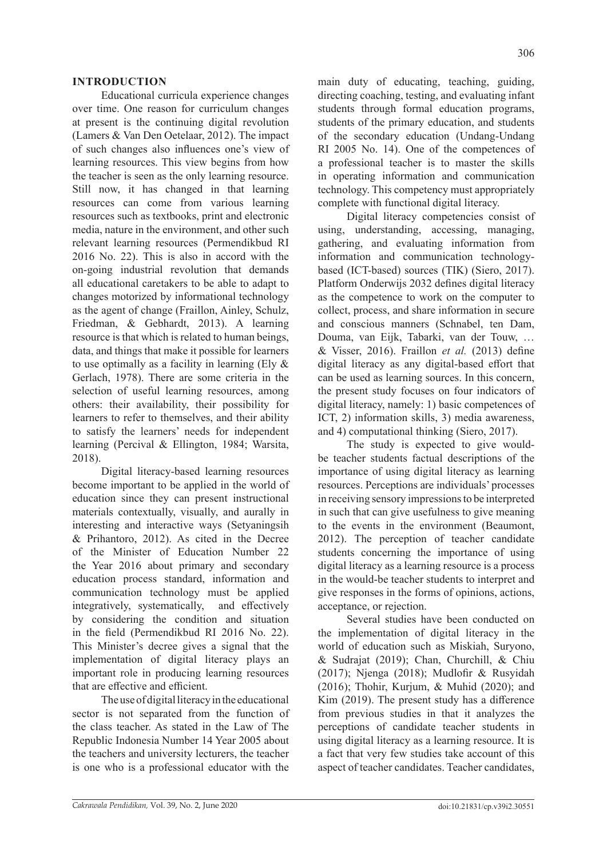Educational curricula experience changes over time. One reason for curriculum changes at present is the continuing digital revolution (Lamers & Van Den Oetelaar, 2012). The impact of such changes also influences one's view of learning resources. This view begins from how the teacher is seen as the only learning resource. Still now, it has changed in that learning resources can come from various learning resources such as textbooks, print and electronic media, nature in the environment, and other such relevant learning resources (Permendikbud RI 2016 No. 22). This is also in accord with the on-going industrial revolution that demands all educational caretakers to be able to adapt to changes motorized by informational technology as the agent of change (Fraillon, Ainley, Schulz, Friedman, & Gebhardt, 2013). A learning resource is that which is related to human beings, data, and things that make it possible for learners to use optimally as a facility in learning (Ely & Gerlach, 1978). There are some criteria in the selection of useful learning resources, among others: their availability, their possibility for learners to refer to themselves, and their ability to satisfy the learners' needs for independent learning (Percival & Ellington, 1984; Warsita, 2018).

Digital literacy-based learning resources become important to be applied in the world of education since they can present instructional materials contextually, visually, and aurally in interesting and interactive ways (Setyaningsih & Prihantoro, 2012). As cited in the Decree of the Minister of Education Number 22 the Year 2016 about primary and secondary education process standard, information and communication technology must be applied integratively, systematically, and effectively by considering the condition and situation in the field (Permendikbud RI 2016 No. 22). This Minister's decree gives a signal that the implementation of digital literacy plays an important role in producing learning resources that are effective and efficient.

The use of digital literacy in the educational sector is not separated from the function of the class teacher. As stated in the Law of The Republic Indonesia Number 14 Year 2005 about the teachers and university lecturers, the teacher is one who is a professional educator with the

main duty of educating, teaching, guiding, directing coaching, testing, and evaluating infant students through formal education programs, students of the primary education, and students of the secondary education (Undang-Undang RI 2005 No. 14). One of the competences of a professional teacher is to master the skills in operating information and communication technology. This competency must appropriately complete with functional digital literacy.

Digital literacy competencies consist of using, understanding, accessing, managing, gathering, and evaluating information from information and communication technologybased (ICT-based) sources (TIK) (Siero, 2017). Platform Onderwijs 2032 defines digital literacy as the competence to work on the computer to collect, process, and share information in secure and conscious manners (Schnabel, ten Dam, Douma, van Eijk, Tabarki, van der Touw, … & Visser, 2016). Fraillon *et al.* (2013) define digital literacy as any digital-based effort that can be used as learning sources. In this concern, the present study focuses on four indicators of digital literacy, namely: 1) basic competences of ICT, 2) information skills, 3) media awareness, and 4) computational thinking (Siero, 2017).

The study is expected to give wouldbe teacher students factual descriptions of the importance of using digital literacy as learning resources. Perceptions are individuals' processes in receiving sensory impressions to be interpreted in such that can give usefulness to give meaning to the events in the environment (Beaumont, 2012). The perception of teacher candidate students concerning the importance of using digital literacy as a learning resource is a process in the would-be teacher students to interpret and give responses in the forms of opinions, actions, acceptance, or rejection.

Several studies have been conducted on the implementation of digital literacy in the world of education such as Miskiah, Suryono, & Sudrajat (2019); Chan, Churchill, & Chiu (2017); Njenga (2018); Mudlofir & Rusyidah (2016); Thohir, Kurjum, & Muhid (2020); and Kim (2019). The present study has a difference from previous studies in that it analyzes the perceptions of candidate teacher students in using digital literacy as a learning resource. It is a fact that very few studies take account of this aspect of teacher candidates. Teacher candidates,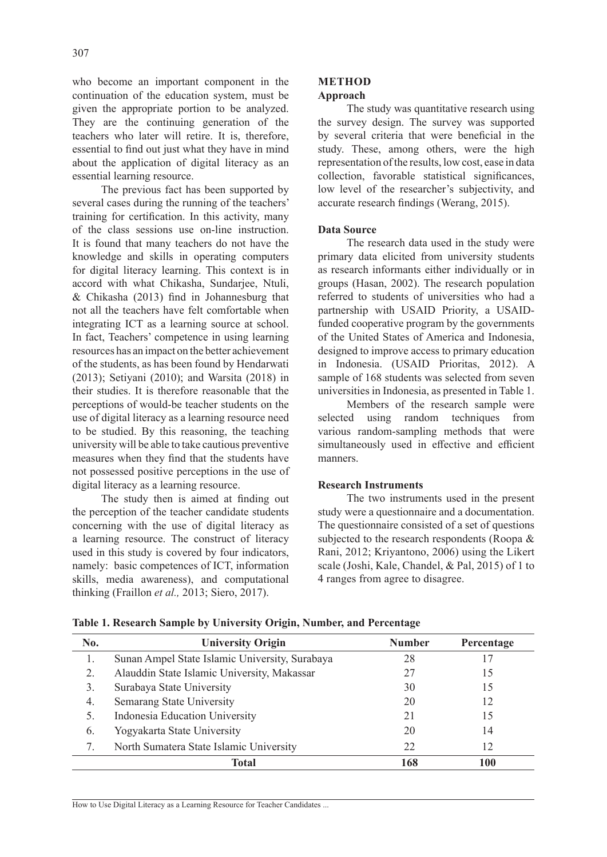who become an important component in the continuation of the education system, must be given the appropriate portion to be analyzed. They are the continuing generation of the teachers who later will retire. It is, therefore, essential to find out just what they have in mind about the application of digital literacy as an essential learning resource.

The previous fact has been supported by several cases during the running of the teachers' training for certification. In this activity, many of the class sessions use on-line instruction. It is found that many teachers do not have the knowledge and skills in operating computers for digital literacy learning. This context is in accord with what Chikasha, Sundarjee, Ntuli, & Chikasha (2013) find in Johannesburg that not all the teachers have felt comfortable when integrating ICT as a learning source at school. In fact, Teachers' competence in using learning resources has an impact on the better achievement of the students, as has been found by Hendarwati (2013); Setiyani (2010); and Warsita (2018) in their studies. It is therefore reasonable that the perceptions of would-be teacher students on the use of digital literacy as a learning resource need to be studied. By this reasoning, the teaching university will be able to take cautious preventive measures when they find that the students have not possessed positive perceptions in the use of digital literacy as a learning resource.

The study then is aimed at finding out the perception of the teacher candidate students concerning with the use of digital literacy as a learning resource. The construct of literacy used in this study is covered by four indicators, namely: basic competences of ICT, information skills, media awareness), and computational thinking (Fraillon *et al.,* 2013; Siero, 2017).

#### **METHOD Approach**

The study was quantitative research using the survey design. The survey was supported by several criteria that were beneficial in the study. These, among others, were the high representation of the results, low cost, ease in data collection, favorable statistical significances, low level of the researcher's subjectivity, and accurate research findings (Werang, 2015).

## **Data Source**

The research data used in the study were primary data elicited from university students as research informants either individually or in groups (Hasan, 2002). The research population referred to students of universities who had a partnership with USAID Priority, a USAIDfunded cooperative program by the governments of the United States of America and Indonesia, designed to improve access to primary education in Indonesia. (USAID Prioritas, 2012). A sample of 168 students was selected from seven universities in Indonesia, as presented in Table 1.

Members of the research sample were selected using random techniques from various random-sampling methods that were simultaneously used in effective and efficient manners.

#### **Research Instruments**

The two instruments used in the present study were a questionnaire and a documentation. The questionnaire consisted of a set of questions subjected to the research respondents (Roopa & Rani, 2012; Kriyantono, 2006) using the Likert scale (Joshi, Kale, Chandel, & Pal, 2015) of 1 to 4 ranges from agree to disagree.

| No. | <b>University Origin</b>                       | <b>Number</b> | Percentage |
|-----|------------------------------------------------|---------------|------------|
| 1.  | Sunan Ampel State Islamic University, Surabaya | 28            |            |
| 2.  | Alauddin State Islamic University, Makassar    | 27            | 15         |
| 3.  | Surabaya State University                      | 30            | 15         |
| 4.  | Semarang State University                      | 20            | 12         |
| 5.  | Indonesia Education University                 | 21            | 15         |
| 6.  | Yogyakarta State University                    | 20            | 14         |
|     | North Sumatera State Islamic University        | 22            | 12         |
|     | Total                                          | 168           | 100        |

**Table 1. Research Sample by University Origin, Number, and Percentage** 

How to Use Digital Literacy as a Learning Resource for Teacher Candidates ...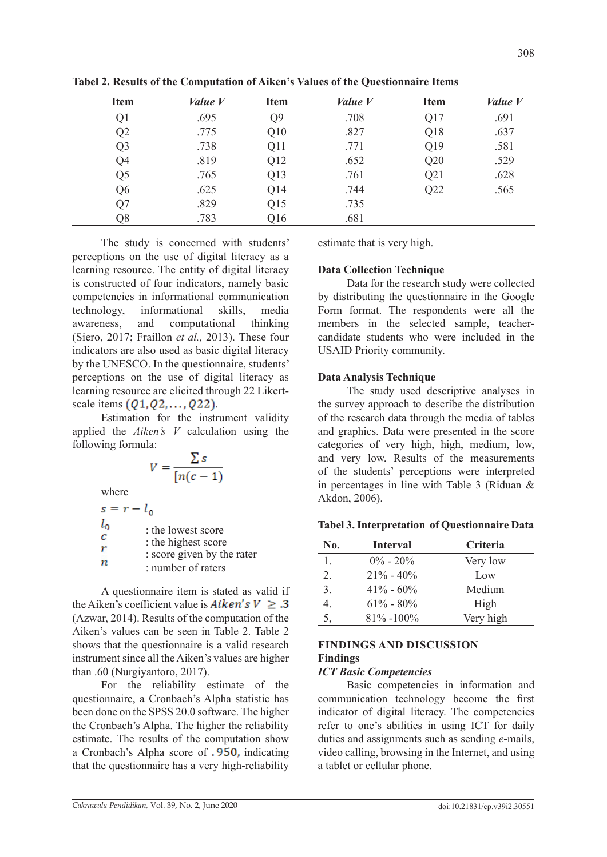| <b>Item</b>    | Value V | <b>Item</b>    | Value V | <b>Item</b> | Value V |
|----------------|---------|----------------|---------|-------------|---------|
| Q1             | .695    | Q <sub>9</sub> | .708    | Q17         | .691    |
| Q2             | .775    | Q10            | .827    | Q18         | .637    |
| Q <sub>3</sub> | .738    | Q11            | .771    | Q19         | .581    |
| Q4             | .819    | Q12            | .652    | Q20         | .529    |
| Q5             | .765    | Q13            | .761    | Q21         | .628    |
| Q <sub>6</sub> | .625    | Q14            | .744    | Q22         | .565    |
| Q7             | .829    | Q15            | .735    |             |         |
| Q8             | .783    | Q16            | .681    |             |         |

**Tabel 2. Results of the Computation of Aiken's Values of the Questionnaire Items**

The study is concerned with students' perceptions on the use of digital literacy as a learning resource. The entity of digital literacy is constructed of four indicators, namely basic competencies in informational communication technology, informational skills, media awareness, and computational thinking (Siero, 2017; Fraillon *et al.,* 2013). These four indicators are also used as basic digital literacy by the UNESCO. In the questionnaire, students' perceptions on the use of digital literacy as learning resource are elicited through 22 Likertscale items  $(Q_1, Q_2, \ldots, Q_2, Q_1)$ 

Estimation for the instrument validity applied the *Aiken's V* calculation using the following formula:

$$
V = \frac{\sum s}{[n(c-1)]}
$$

where

 $s = r - l_0$  $l_0$ : the lowest score  $\overline{c}$ : the highest score r : score given by the rater  $\overline{n}$ : number of raters

A questionnaire item is stated as valid if the Aiken's coefficient value is  $Aiken's V \geq .3$ (Azwar, 2014). Results of the computation of the Aiken's values can be seen in Table 2. Table 2 shows that the questionnaire is a valid research instrument since all the Aiken's values are higher than .60 (Nurgiyantoro, 2017).

For the reliability estimate of the questionnaire, a Cronbach's Alpha statistic has been done on the SPSS 20.0 software. The higher the Cronbach's Alpha. The higher the reliability estimate. The results of the computation show a Cronbach's Alpha score of  $.950$ , indicating that the questionnaire has a very high-reliability estimate that is very high.

# **Data Collection Technique**

Data for the research study were collected by distributing the questionnaire in the Google Form format. The respondents were all the members in the selected sample, teachercandidate students who were included in the USAID Priority community.

# **Data Analysis Technique**

The study used descriptive analyses in the survey approach to describe the distribution of the research data through the media of tables and graphics. Data were presented in the score categories of very high, high, medium, low, and very low. Results of the measurements of the students' perceptions were interpreted in percentages in line with Table 3 (Riduan & Akdon, 2006).

| No. | <b>Interval</b> | Criteria  |
|-----|-----------------|-----------|
| 1.  | $0\% - 20\%$    | Very low  |
| 2.  | $21\% - 40\%$   | Low       |
| 3.  | $41\% - 60\%$   | Medium    |
| 4.  | $61\% - 80\%$   | High      |
| 5,  | $81\% - 100\%$  | Very high |

# **Tabel 3. Interpretation of Questionnaire Data**

# **FINDINGS AND DISCUSSION Findings**

# *ICT Basic Competencies*

Basic competencies in information and communication technology become the first indicator of digital literacy. The competencies refer to one's abilities in using ICT for daily duties and assignments such as sending *e*-mails, video calling, browsing in the Internet, and using a tablet or cellular phone.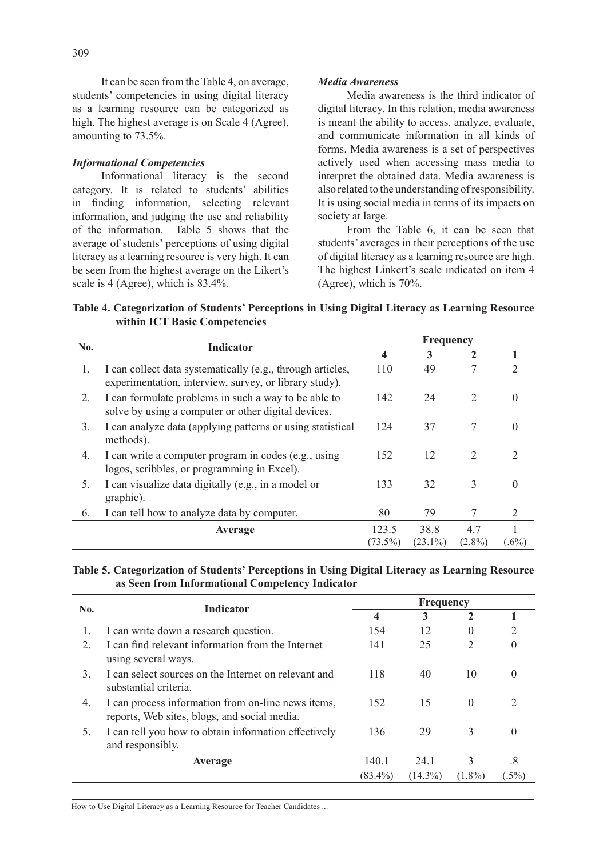It can be seen from the Table 4, on average, students' competencies in using digital literacy as a learning resource can be categorized as high. The highest average is on Scale 4 (Agree), amounting to 73.5%.

## *Informational Competencies*

Informational literacy is the second category. It is related to students' abilities in finding information, selecting relevant information, and judging the use and reliability of the information. Table 5 shows that the average of students' perceptions of using digital literacy as a learning resource is very high. It can be seen from the highest average on the Likert's scale is 4 (Agree), which is 83.4%.

#### *Media Awareness*

Media awareness is the third indicator of digital literacy. In this relation, media awareness is meant the ability to access, analyze, evaluate, and communicate information in all kinds of forms. Media awareness is a set of perspectives actively used when accessing mass media to interpret the obtained data. Media awareness is also related to the understanding of responsibility. It is using social media in terms of its impacts on society at large.

From the Table 6, it can be seen that students' averages in their perceptions of the use of digital literacy as a learning resource are high. The highest Linkert's scale indicated on item 4 (Agree), which is 70%.

**Table 4. Categorization of Students' Perceptions in Using Digital Literacy as Learning Resource within ICT Basic Competencies** 

| No. | <b>Indicator</b>                                                                                                     | Frequency           |                    |                  |                |
|-----|----------------------------------------------------------------------------------------------------------------------|---------------------|--------------------|------------------|----------------|
|     |                                                                                                                      | 4                   | 3                  | 2                |                |
| 1.  | I can collect data systematically (e.g., through articles,<br>experimentation, interview, survey, or library study). | 110                 | 49                 |                  | $\mathcal{L}$  |
| 2.  | I can formulate problems in such a way to be able to<br>solve by using a computer or other digital devices.          | 142                 | 24                 | 2                | 0              |
| 3.  | I can analyze data (applying patterns or using statistical<br>methods).                                              | 124                 | 37                 | 7                | 0              |
| 4.  | I can write a computer program in codes (e.g., using<br>logos, scribbles, or programming in Excel).                  | 152                 | 12                 | 2                | $\mathfrak{D}$ |
| 5.  | I can visualize data digitally (e.g., in a model or<br>graphic).                                                     | 133                 | 32                 | 3                | $\Omega$       |
| 6.  | I can tell how to analyze data by computer.                                                                          | 80                  | 79                 |                  | 2              |
|     | Average                                                                                                              | 123.5<br>$(73.5\%)$ | 38.8<br>$(23.1\%)$ | 4.7<br>$(2.8\%)$ | $(.6\%)$       |

**Table 5. Categorization of Students' Perceptions in Using Digital Literacy as Learning Resource as Seen from Informational Competency Indicator** 

| No. | <b>Indicator</b>                                                                                   | Frequency  |            |                |         |  |
|-----|----------------------------------------------------------------------------------------------------|------------|------------|----------------|---------|--|
|     |                                                                                                    | 4          | 3          | 2              |         |  |
|     | I can write down a research question.                                                              | 154        | 12         | $\theta$       | 2       |  |
| 2.  | I can find relevant information from the Internet<br>using several ways.                           | 141        | 25         | $\overline{2}$ |         |  |
| 3.  | I can select sources on the Internet on relevant and<br>substantial criteria.                      | 118        | 40         | 10             |         |  |
| 4.  | I can process information from on-line news items,<br>reports, Web sites, blogs, and social media. | 152        | 15         | $\theta$       |         |  |
|     | I can tell you how to obtain information effectively<br>and responsibly.                           | 136        | 29         | 3              | 0       |  |
|     | Average                                                                                            | 140.1      | 24.1       | 3              | .8      |  |
|     |                                                                                                    | $(83.4\%)$ | $(14.3\%)$ | $(1.8\%)$      | $.5\%)$ |  |

How to Use Digital Literacy as a Learning Resource for Teacher Candidates ...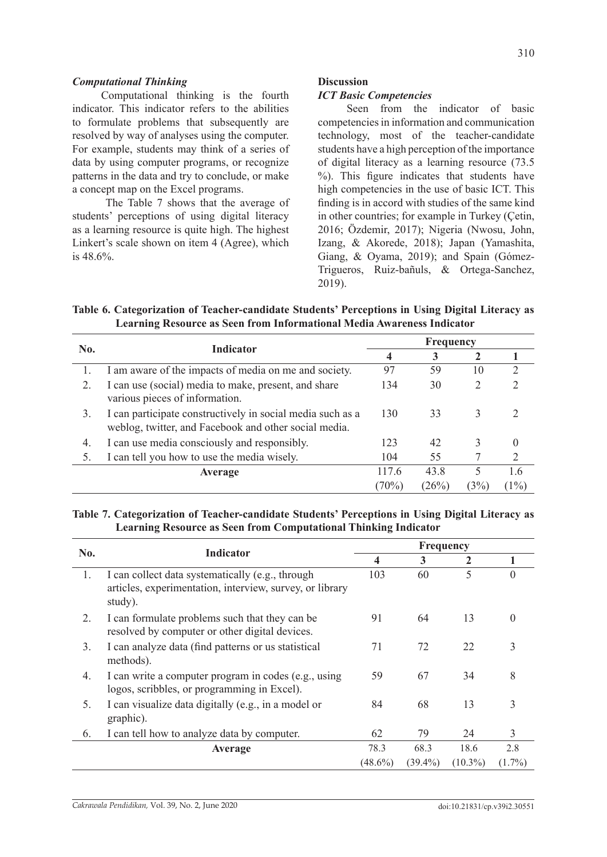#### *Computational Thinking*

Computational thinking is the fourth indicator. This indicator refers to the abilities to formulate problems that subsequently are resolved by way of analyses using the computer. For example, students may think of a series of data by using computer programs, or recognize patterns in the data and try to conclude, or make a concept map on the Excel programs.

 The Table 7 shows that the average of students' perceptions of using digital literacy as a learning resource is quite high. The highest Linkert's scale shown on item 4 (Agree), which is 48.6%.

## **Discussion**

#### *ICT Basic Competencies*

Seen from the indicator of basic competencies in information and communication technology, most of the teacher-candidate students have a high perception of the importance of digital literacy as a learning resource (73.5 %). This figure indicates that students have high competencies in the use of basic ICT. This finding is in accord with studies of the same kind in other countries; for example in Turkey (Çetin, 2016; Özdemir, 2017); Nigeria (Nwosu, John, Izang, & Akorede, 2018); Japan (Yamashita, Giang, & Oyama, 2019); and Spain (Gómez-Trigueros, Ruiz-bañuls, & Ortega-Sanchez, 2019).

**Table 6. Categorization of Teacher-candidate Students' Perceptions in Using Digital Literacy as Learning Resource as Seen from Informational Media Awareness Indicator** 

| No. | <b>Indicator</b>                                                                                                    | <b>Frequency</b> |       |       |               |
|-----|---------------------------------------------------------------------------------------------------------------------|------------------|-------|-------|---------------|
|     |                                                                                                                     | 4                | 3     |       |               |
|     | I am aware of the impacts of media on me and society.                                                               | 97               | 59    | 10    | $\mathcal{D}$ |
| 2.  | I can use (social) media to make, present, and share<br>various pieces of information.                              | 134              | 30    |       |               |
| 3.  | I can participate constructively in social media such as a<br>weblog, twitter, and Facebook and other social media. | 130              | 33    |       |               |
| 4.  | I can use media consciously and responsibly.                                                                        | 123              | 42    | 3     |               |
|     | I can tell you how to use the media wisely.                                                                         | 104              | 55    |       | $\mathcal{D}$ |
|     | Average                                                                                                             | 117.6            | 43.8  | 5     | 1.6           |
|     |                                                                                                                     | (70%)            | (26%) | $3\%$ | (1%)          |

## **Table 7. Categorization of Teacher-candidate Students' Perceptions in Using Digital Literacy as Learning Resource as Seen from Computational Thinking Indicator**

| No. | <b>Indicator</b>                                                                                                        | <b>Frequency</b> |            |              |           |
|-----|-------------------------------------------------------------------------------------------------------------------------|------------------|------------|--------------|-----------|
|     |                                                                                                                         | 4                | 3          | $\mathbf{2}$ |           |
| 1.  | I can collect data systematically (e.g., through<br>articles, experimentation, interview, survey, or library<br>study). | 103              | 60         | 5            | 0         |
| 2.  | I can formulate problems such that they can be<br>resolved by computer or other digital devices.                        | 91               | 64         | 13           | $\theta$  |
| 3.  | I can analyze data (find patterns or us statistical<br>methods).                                                        | 71               | 72         | 22           | 3         |
| 4.  | I can write a computer program in codes (e.g., using<br>logos, scribbles, or programming in Excel).                     | 59               | 67         | 34           | 8         |
| 5.  | I can visualize data digitally (e.g., in a model or<br>graphic).                                                        | 84               | 68         | 13           | 3         |
| 6.  | I can tell how to analyze data by computer.                                                                             | 62               | 79         | 24           | 3         |
|     | Average                                                                                                                 | 78.3             | 68.3       | 18.6         | 2.8       |
|     |                                                                                                                         | $(48.6\%)$       | $(39.4\%)$ | $(10.3\%)$   | $(1.7\%)$ |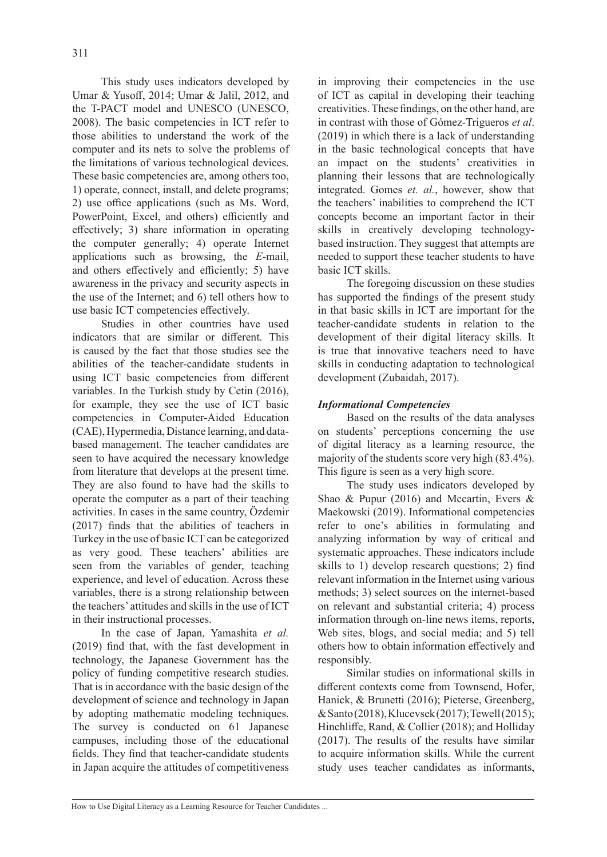This study uses indicators developed by Umar & Yusoff, 2014; Umar & Jalil, 2012, and the T-PACT model and UNESCO (UNESCO, 2008). The basic competencies in ICT refer to those abilities to understand the work of the computer and its nets to solve the problems of the limitations of various technological devices. These basic competencies are, among others too, 1) operate, connect, install, and delete programs; 2) use office applications (such as Ms. Word, PowerPoint, Excel, and others) efficiently and effectively; 3) share information in operating the computer generally; 4) operate Internet applications such as browsing, the *E*-mail, and others effectively and efficiently; 5) have awareness in the privacy and security aspects in the use of the Internet; and 6) tell others how to use basic ICT competencies effectively.

Studies in other countries have used indicators that are similar or different. This is caused by the fact that those studies see the abilities of the teacher-candidate students in using ICT basic competencies from different variables. In the Turkish study by Cetin (2016), for example, they see the use of ICT basic competencies in Computer-Aided Education (CAE), Hypermedia, Distance learning, and databased management. The teacher candidates are seen to have acquired the necessary knowledge from literature that develops at the present time. They are also found to have had the skills to operate the computer as a part of their teaching activities. In cases in the same country, Özdemir (2017) finds that the abilities of teachers in Turkey in the use of basic ICT can be categorized as very good. These teachers' abilities are seen from the variables of gender, teaching experience, and level of education. Across these variables, there is a strong relationship between the teachers' attitudes and skills in the use of ICT in their instructional processes.

In the case of Japan, Yamashita *et al.*  (2019) find that, with the fast development in technology, the Japanese Government has the policy of funding competitive research studies. That is in accordance with the basic design of the development of science and technology in Japan by adopting mathematic modeling techniques. The survey is conducted on 61 Japanese campuses, including those of the educational fields. They find that teacher-candidate students in Japan acquire the attitudes of competitiveness in improving their competencies in the use of ICT as capital in developing their teaching creativities. These findings, on the other hand, are in contrast with those of Gómez-Trigueros *et al*. (2019) in which there is a lack of understanding in the basic technological concepts that have an impact on the students' creativities in planning their lessons that are technologically integrated. Gomes *et. al.*, however, show that the teachers' inabilities to comprehend the ICT concepts become an important factor in their skills in creatively developing technologybased instruction. They suggest that attempts are needed to support these teacher students to have basic ICT skills.

The foregoing discussion on these studies has supported the findings of the present study in that basic skills in ICT are important for the teacher-candidate students in relation to the development of their digital literacy skills. It is true that innovative teachers need to have skills in conducting adaptation to technological development (Zubaidah, 2017).

# *Informational Competencies*

Based on the results of the data analyses on students' perceptions concerning the use of digital literacy as a learning resource, the majority of the students score very high (83.4%). This figure is seen as a very high score.

The study uses indicators developed by Shao & Pupur (2016) and Mccartin, Evers & Maekowski (2019). Informational competencies refer to one's abilities in formulating and analyzing information by way of critical and systematic approaches. These indicators include skills to 1) develop research questions; 2) find relevant information in the Internet using various methods; 3) select sources on the internet-based on relevant and substantial criteria; 4) process information through on-line news items, reports, Web sites, blogs, and social media; and 5) tell others how to obtain information effectively and responsibly.

Similar studies on informational skills in different contexts come from Townsend, Hofer, Hanick, & Brunetti (2016); Pieterse, Greenberg, & Santo (2018), Klucevsek (2017); Tewell (2015); Hinchliffe, Rand, & Collier (2018); and Holliday (2017). The results of the results have similar to acquire information skills. While the current study uses teacher candidates as informants,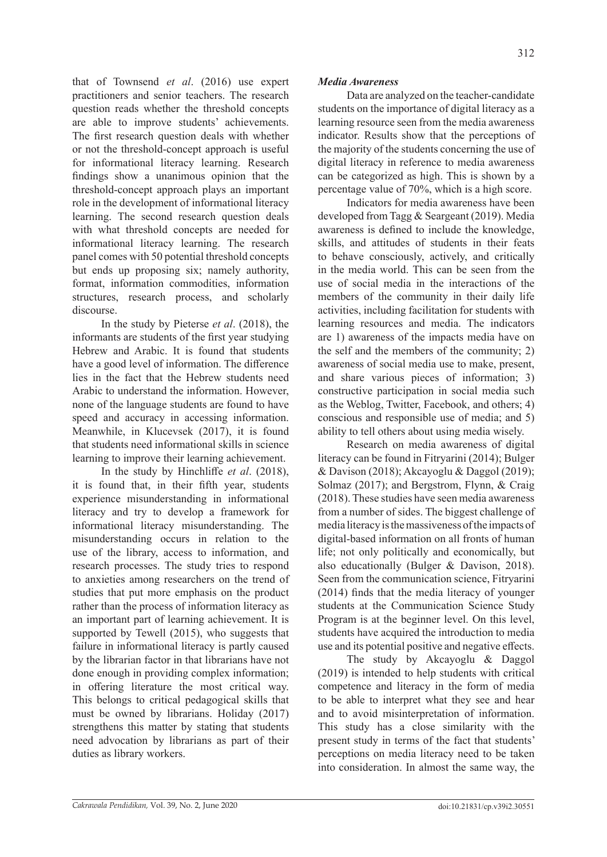that of Townsend *et al*. (2016) use expert practitioners and senior teachers. The research question reads whether the threshold concepts are able to improve students' achievements. The first research question deals with whether or not the threshold-concept approach is useful for informational literacy learning. Research findings show a unanimous opinion that the threshold-concept approach plays an important role in the development of informational literacy learning. The second research question deals with what threshold concepts are needed for informational literacy learning. The research panel comes with 50 potential threshold concepts but ends up proposing six; namely authority, format, information commodities, information structures, research process, and scholarly discourse.

In the study by Pieterse *et al*. (2018), the informants are students of the first year studying Hebrew and Arabic. It is found that students have a good level of information. The difference lies in the fact that the Hebrew students need Arabic to understand the information. However, none of the language students are found to have speed and accuracy in accessing information. Meanwhile, in Klucevsek (2017), it is found that students need informational skills in science learning to improve their learning achievement.

In the study by Hinchliffe *et al*. (2018), it is found that, in their fifth year, students experience misunderstanding in informational literacy and try to develop a framework for informational literacy misunderstanding. The misunderstanding occurs in relation to the use of the library, access to information, and research processes. The study tries to respond to anxieties among researchers on the trend of studies that put more emphasis on the product rather than the process of information literacy as an important part of learning achievement. It is supported by Tewell (2015), who suggests that failure in informational literacy is partly caused by the librarian factor in that librarians have not done enough in providing complex information; in offering literature the most critical way. This belongs to critical pedagogical skills that must be owned by librarians. Holiday (2017) strengthens this matter by stating that students need advocation by librarians as part of their duties as library workers.

# *Media Awareness*

Data are analyzed on the teacher-candidate students on the importance of digital literacy as a learning resource seen from the media awareness indicator. Results show that the perceptions of the majority of the students concerning the use of digital literacy in reference to media awareness can be categorized as high. This is shown by a percentage value of 70%, which is a high score.

Indicators for media awareness have been developed from Tagg & Seargeant (2019). Media awareness is defined to include the knowledge, skills, and attitudes of students in their feats to behave consciously, actively, and critically in the media world. This can be seen from the use of social media in the interactions of the members of the community in their daily life activities, including facilitation for students with learning resources and media. The indicators are 1) awareness of the impacts media have on the self and the members of the community; 2) awareness of social media use to make, present, and share various pieces of information; 3) constructive participation in social media such as the Weblog, Twitter, Facebook, and others; 4) conscious and responsible use of media; and 5) ability to tell others about using media wisely.

Research on media awareness of digital literacy can be found in Fitryarini (2014); Bulger & Davison (2018); Akcayoglu & Daggol (2019); Solmaz (2017); and Bergstrom, Flynn, & Craig (2018). These studies have seen media awareness from a number of sides. The biggest challenge of media literacy is the massiveness of the impacts of digital-based information on all fronts of human life; not only politically and economically, but also educationally (Bulger & Davison, 2018). Seen from the communication science, Fitryarini (2014) finds that the media literacy of younger students at the Communication Science Study Program is at the beginner level. On this level, students have acquired the introduction to media use and its potential positive and negative effects.

The study by Akcayoglu & Daggol (2019) is intended to help students with critical competence and literacy in the form of media to be able to interpret what they see and hear and to avoid misinterpretation of information. This study has a close similarity with the present study in terms of the fact that students' perceptions on media literacy need to be taken into consideration. In almost the same way, the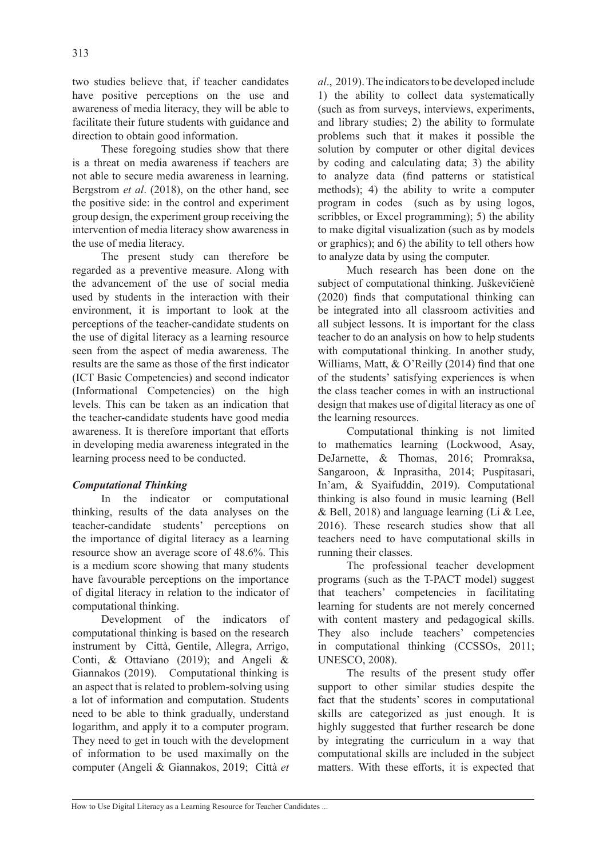two studies believe that, if teacher candidates have positive perceptions on the use and awareness of media literacy, they will be able to facilitate their future students with guidance and direction to obtain good information.

These foregoing studies show that there is a threat on media awareness if teachers are not able to secure media awareness in learning. Bergstrom *et al*. (2018), on the other hand, see the positive side: in the control and experiment group design, the experiment group receiving the intervention of media literacy show awareness in the use of media literacy.

The present study can therefore be regarded as a preventive measure. Along with the advancement of the use of social media used by students in the interaction with their environment, it is important to look at the perceptions of the teacher-candidate students on the use of digital literacy as a learning resource seen from the aspect of media awareness. The results are the same as those of the first indicator (ICT Basic Competencies) and second indicator (Informational Competencies) on the high levels. This can be taken as an indication that the teacher-candidate students have good media awareness. It is therefore important that efforts in developing media awareness integrated in the learning process need to be conducted.

# *Computational Thinking*

In the indicator or computational thinking, results of the data analyses on the teacher-candidate students' perceptions on the importance of digital literacy as a learning resource show an average score of 48.6%. This is a medium score showing that many students have favourable perceptions on the importance of digital literacy in relation to the indicator of computational thinking.

Development of the indicators of computational thinking is based on the research instrument by Città, Gentile, Allegra, Arrigo, Conti, & Ottaviano (2019); and Angeli & Giannakos (2019). Computational thinking is an aspect that is related to problem-solving using a lot of information and computation. Students need to be able to think gradually, understand logarithm, and apply it to a computer program. They need to get in touch with the development of information to be used maximally on the computer (Angeli & Giannakos, 2019; Città *et* 

*al*., 2019). The indicators to be developed include 1) the ability to collect data systematically (such as from surveys, interviews, experiments, and library studies; 2) the ability to formulate problems such that it makes it possible the solution by computer or other digital devices by coding and calculating data; 3) the ability to analyze data (find patterns or statistical methods); 4) the ability to write a computer program in codes (such as by using logos, scribbles, or Excel programming); 5) the ability to make digital visualization (such as by models or graphics); and 6) the ability to tell others how to analyze data by using the computer.

Much research has been done on the subject of computational thinking. Juškevičienė (2020) finds that computational thinking can be integrated into all classroom activities and all subject lessons. It is important for the class teacher to do an analysis on how to help students with computational thinking. In another study, Williams, Matt, & O'Reilly (2014) find that one of the students' satisfying experiences is when the class teacher comes in with an instructional design that makes use of digital literacy as one of the learning resources.

Computational thinking is not limited to mathematics learning (Lockwood, Asay, DeJarnette, & Thomas, 2016; Promraksa, Sangaroon, & Inprasitha, 2014; Puspitasari, In'am, & Syaifuddin, 2019). Computational thinking is also found in music learning (Bell & Bell, 2018) and language learning (Li & Lee, 2016). These research studies show that all teachers need to have computational skills in running their classes.

The professional teacher development programs (such as the T-PACT model) suggest that teachers' competencies in facilitating learning for students are not merely concerned with content mastery and pedagogical skills. They also include teachers' competencies in computational thinking (CCSSOs, 2011; UNESCO, 2008).

The results of the present study offer support to other similar studies despite the fact that the students' scores in computational skills are categorized as just enough. It is highly suggested that further research be done by integrating the curriculum in a way that computational skills are included in the subject matters. With these efforts, it is expected that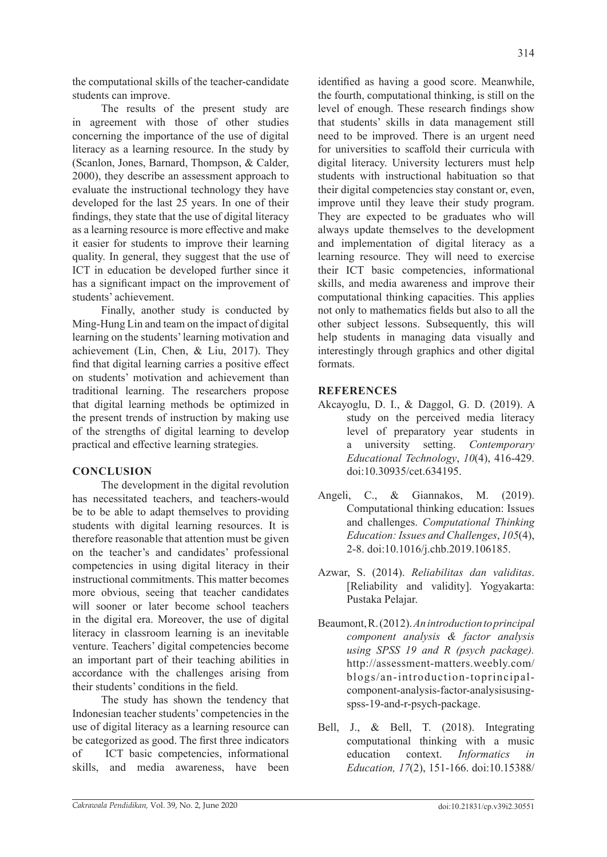the computational skills of the teacher-candidate students can improve.

The results of the present study are in agreement with those of other studies concerning the importance of the use of digital literacy as a learning resource. In the study by (Scanlon, Jones, Barnard, Thompson, & Calder, 2000), they describe an assessment approach to evaluate the instructional technology they have developed for the last 25 years. In one of their findings, they state that the use of digital literacy as a learning resource is more effective and make it easier for students to improve their learning quality. In general, they suggest that the use of ICT in education be developed further since it has a significant impact on the improvement of students' achievement.

Finally, another study is conducted by Ming-Hung Lin and team on the impact of digital learning on the students' learning motivation and achievement (Lin, Chen, & Liu, 2017). They find that digital learning carries a positive effect on students' motivation and achievement than traditional learning. The researchers propose that digital learning methods be optimized in the present trends of instruction by making use of the strengths of digital learning to develop practical and effective learning strategies.

#### **CONCLUSION**

The development in the digital revolution has necessitated teachers, and teachers-would be to be able to adapt themselves to providing students with digital learning resources. It is therefore reasonable that attention must be given on the teacher's and candidates' professional competencies in using digital literacy in their instructional commitments. This matter becomes more obvious, seeing that teacher candidates will sooner or later become school teachers in the digital era. Moreover, the use of digital literacy in classroom learning is an inevitable venture. Teachers' digital competencies become an important part of their teaching abilities in accordance with the challenges arising from their students' conditions in the field.

The study has shown the tendency that Indonesian teacher students' competencies in the use of digital literacy as a learning resource can be categorized as good. The first three indicators of ICT basic competencies, informational skills, and media awareness, have been

identified as having a good score. Meanwhile, the fourth, computational thinking, is still on the level of enough. These research findings show that students' skills in data management still need to be improved. There is an urgent need for universities to scaffold their curricula with digital literacy. University lecturers must help students with instructional habituation so that their digital competencies stay constant or, even, improve until they leave their study program. They are expected to be graduates who will always update themselves to the development and implementation of digital literacy as a learning resource. They will need to exercise their ICT basic competencies, informational skills, and media awareness and improve their computational thinking capacities. This applies not only to mathematics fields but also to all the other subject lessons. Subsequently, this will help students in managing data visually and interestingly through graphics and other digital formats.

## **REFERENCES**

- Akcayoglu, D. I., & Daggol, G. D. (2019). A study on the perceived media literacy level of preparatory year students in a university setting. *Contemporary Educational Technology*, *10*(4), 416-429. doi:10.30935/cet.634195.
- Angeli, C., & Giannakos, M. (2019). Computational thinking education: Issues and challenges. *Computational Thinking Education: Issues and Challenges*, *105*(4), 2-8. doi:10.1016/j.chb.2019.106185.
- Azwar, S. (2014). *Reliabilitas dan validitas*. [Reliability and validity]. Yogyakarta: Pustaka Pelajar.
- Beaumont, R. (2012). *An introduction to principal component analysis & factor analysis using SPSS 19 and R (psych package).* http://assessment-matters.weebly.com/ blogs/an-introduction-toprincipalcomponent-analysis-factor-analysisusingspss-19-and-r-psych-package.
- Bell, J., & Bell, T. (2018). Integrating computational thinking with a music education context. *Informatics in Education, 17*(2), 151-166. doi:10.15388/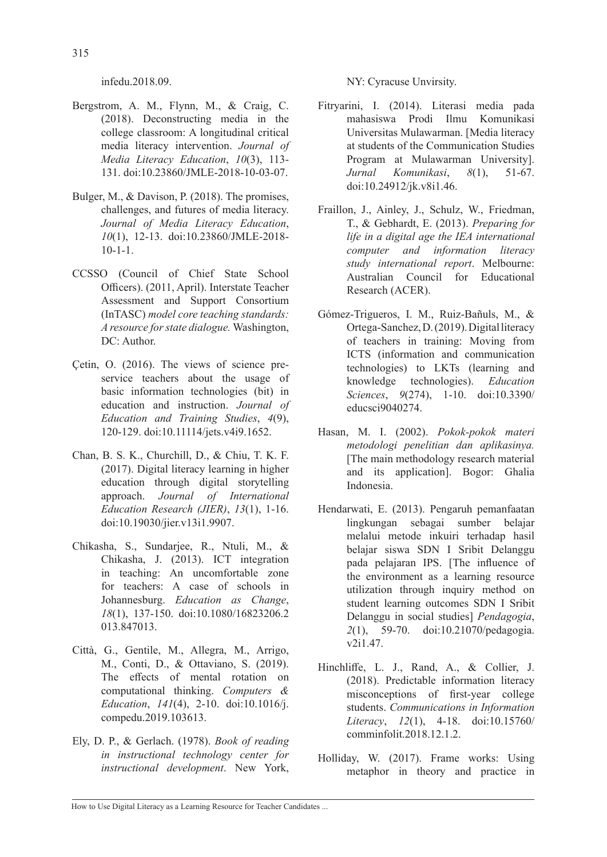infedu.2018.09.

- Bergstrom, A. M., Flynn, M., & Craig, C. (2018). Deconstructing media in the college classroom: A longitudinal critical media literacy intervention. *Journal of Media Literacy Education*, *10*(3), 113- 131. doi:10.23860/JMLE-2018-10-03-07.
- Bulger, M., & Davison, P. (2018). The promises, challenges, and futures of media literacy. *Journal of Media Literacy Education*, *10*(1), 12-13. doi:10.23860/JMLE-2018- 10-1-1.
- CCSSO (Council of Chief State School Officers). (2011, April). Interstate Teacher Assessment and Support Consortium (InTASC) *model core teaching standards: A resource for state dialogue.* Washington, DC: Author.
- Çetin, O. (2016). The views of science preservice teachers about the usage of basic information technologies (bit) in education and instruction. *Journal of Education and Training Studies*, *4*(9), 120-129. doi:10.11114/jets.v4i9.1652.
- Chan, B. S. K., Churchill, D., & Chiu, T. K. F. (2017). Digital literacy learning in higher education through digital storytelling approach. *Journal of International Education Research (JIER)*, *13*(1), 1-16. doi:10.19030/jier.v13i1.9907.
- Chikasha, S., Sundarjee, R., Ntuli, M., & Chikasha, J. (2013). ICT integration in teaching: An uncomfortable zone for teachers: A case of schools in Johannesburg. *Education as Change*, *18*(1), 137-150. doi:10.1080/16823206.2 013.847013.
- Città, G., Gentile, M., Allegra, M., Arrigo, M., Conti, D., & Ottaviano, S. (2019). The effects of mental rotation on computational thinking. *Computers & Education*, *141*(4), 2-10. doi:10.1016/j. compedu.2019.103613.
- Ely, D. P., & Gerlach. (1978). *Book of reading in instructional technology center for instructional development*. New York,

NY: Cyracuse Unvirsity.

- Fitryarini, I. (2014). Literasi media pada mahasiswa Prodi Ilmu Komunikasi Universitas Mulawarman. [Media literacy at students of the Communication Studies Program at Mulawarman University]. *Jurnal Komunikasi*, *8*(1), 51-67. doi:10.24912/jk.v8i1.46.
- Fraillon, J., Ainley, J., Schulz, W., Friedman, T., & Gebhardt, E. (2013). *Preparing for life in a digital age the IEA international computer and information literacy study international report*. Melbourne: Australian Council for Educational Research (ACER).
- Gómez-Trigueros, I. M., Ruiz-Bañuls, M., & Ortega-Sanchez, D. (2019). Digital literacy of teachers in training: Moving from ICTS (information and communication technologies) to LKTs (learning and knowledge technologies). *Education Sciences*, *9*(274), 1-10. doi:10.3390/ educsci9040274.
- Hasan, M. I. (2002). *Pokok-pokok materi metodologi penelitian dan aplikasinya.* [The main methodology research material and its application]. Bogor: Ghalia Indonesia.
- Hendarwati, E. (2013). Pengaruh pemanfaatan lingkungan sebagai sumber belajar melalui metode inkuiri terhadap hasil belajar siswa SDN I Sribit Delanggu pada pelajaran IPS. [The influence of the environment as a learning resource utilization through inquiry method on student learning outcomes SDN I Sribit Delanggu in social studies] *Pendagogia*, *2*(1), 59-70. doi:10.21070/pedagogia. v2i1.47.
- Hinchliffe, L. J., Rand, A., & Collier, J. (2018). Predictable information literacy misconceptions of first-year college students. *Communications in Information Literacy*, *12*(1), 4-18. doi:10.15760/ comminfolit.2018.12.1.2.
- Holliday, W. (2017). Frame works: Using metaphor in theory and practice in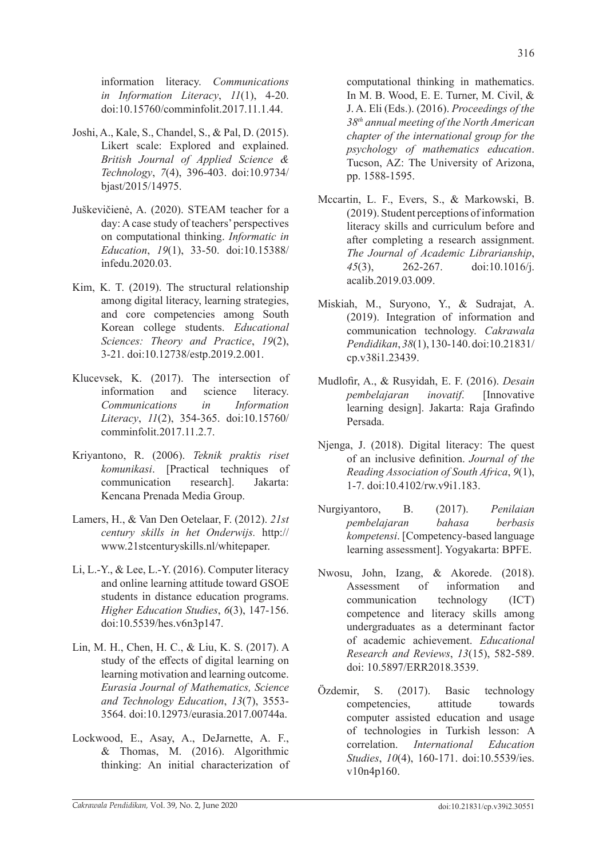information literacy. *Communications in Information Literacy*, *11*(1), 4-20. doi:10.15760/comminfolit.2017.11.1.44.

- Joshi, A., Kale, S., Chandel, S., & Pal, D. (2015). Likert scale: Explored and explained. *British Journal of Applied Science & Technology*, *7*(4), 396-403. doi:10.9734/ bjast/2015/14975.
- Juškevičienė, A. (2020). STEAM teacher for a day: A case study of teachers' perspectives on computational thinking. *Informatic in Education*, *19*(1), 33-50. doi:10.15388/ infedu.2020.03.
- Kim, K. T. (2019). The structural relationship among digital literacy, learning strategies, and core competencies among South Korean college students. *Educational Sciences: Theory and Practice*, *19*(2), 3-21. doi:10.12738/estp.2019.2.001.
- Klucevsek, K. (2017). The intersection of information and science literacy. *Communications in Information Literacy*, *11*(2), 354-365. doi:10.15760/ comminfolit.2017.11.2.7.
- Kriyantono, R. (2006). *Teknik praktis riset komunikasi*. [Practical techniques of communication research]. Jakarta: Kencana Prenada Media Group.
- Lamers, H., & Van Den Oetelaar, F. (2012). *21st century skills in het Onderwijs.* http:// www.21stcenturyskills.nl/whitepaper.
- Li, L.-Y., & Lee, L.-Y. (2016). Computer literacy and online learning attitude toward GSOE students in distance education programs. *Higher Education Studies*, *6*(3), 147-156. doi:10.5539/hes.v6n3p147.
- Lin, M. H., Chen, H. C., & Liu, K. S. (2017). A study of the effects of digital learning on learning motivation and learning outcome. *Eurasia Journal of Mathematics, Science and Technology Education*, *13*(7), 3553- 3564. doi:10.12973/eurasia.2017.00744a.
- Lockwood, E., Asay, A., DeJarnette, A. F., & Thomas, M. (2016). Algorithmic thinking: An initial characterization of

computational thinking in mathematics. In M. B. Wood, E. E. Turner, M. Civil, & J. A. Eli (Eds.). (2016). *Proceedings of the 38th annual meeting of the North American chapter of the international group for the psychology of mathematics education*. Tucson, AZ: The University of Arizona, pp. 1588-1595.

- Mccartin, L. F., Evers, S., & Markowski, B. (2019). Student perceptions of information literacy skills and curriculum before and after completing a research assignment. *The Journal of Academic Librarianship*, *45*(3), 262-267. doi:10.1016/j. acalib.2019.03.009.
- Miskiah, M., Suryono, Y., & Sudrajat, A. (2019). Integration of information and communication technology. *Cakrawala Pendidikan*, *38*(1), 130-140. doi:10.21831/ cp.v38i1.23439.
- Mudlofir, A., & Rusyidah, E. F. (2016). *Desain pembelajaran inovatif*. [Innovative learning design]. Jakarta: Raja Grafindo Persada.
- Njenga, J. (2018). Digital literacy: The quest of an inclusive definition. *Journal of the Reading Association of South Africa*, *9*(1), 1-7. doi:10.4102/rw.v9i1.183.
- Nurgiyantoro, B. (2017). *Penilaian pembelajaran bahasa berbasis kompetensi*. [Competency-based language learning assessment]. Yogyakarta: BPFE.
- Nwosu, John, Izang, & Akorede. (2018). Assessment of information and communication technology (ICT) competence and literacy skills among undergraduates as a determinant factor of academic achievement. *Educational Research and Reviews*, *13*(15), 582-589. doi: 10.5897/ERR2018.3539.
- Özdemir, S. (2017). Basic technology competencies, attitude towards computer assisted education and usage of technologies in Turkish lesson: A correlation. *International Education Studies*, *10*(4), 160-171. doi:10.5539/ies. v10n4p160.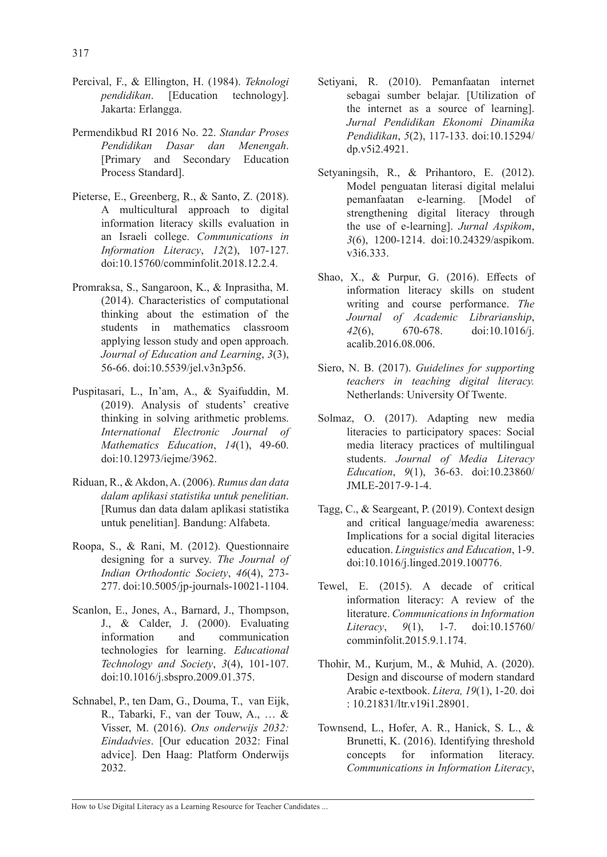- Percival, F., & Ellington, H. (1984). *Teknologi pendidikan*. [Education technology]. Jakarta: Erlangga.
- Permendikbud RI 2016 No. 22. *Standar Proses Pendidikan Dasar dan Menengah*. [Primary and Secondary Education Process Standard].
- Pieterse, E., Greenberg, R., & Santo, Z. (2018). A multicultural approach to digital information literacy skills evaluation in an Israeli college. *Communications in Information Literacy*, *12*(2), 107-127. doi:10.15760/comminfolit.2018.12.2.4.
- Promraksa, S., Sangaroon, K., & Inprasitha, M. (2014). Characteristics of computational thinking about the estimation of the students in mathematics classroom applying lesson study and open approach. *Journal of Education and Learning*, *3*(3), 56-66. doi:10.5539/jel.v3n3p56.
- Puspitasari, L., In'am, A., & Syaifuddin, M. (2019). Analysis of students' creative thinking in solving arithmetic problems. *International Electronic Journal of Mathematics Education*, *14*(1), 49-60. doi:10.12973/iejme/3962.
- Riduan, R., & Akdon, A. (2006). *Rumus dan data dalam aplikasi statistika untuk penelitian*. [Rumus dan data dalam aplikasi statistika untuk penelitian]. Bandung: Alfabeta.
- Roopa, S., & Rani, M. (2012). Questionnaire designing for a survey. *The Journal of Indian Orthodontic Society*, *46*(4), 273- 277. doi:10.5005/jp-journals-10021-1104.
- Scanlon, E., Jones, A., Barnard, J., Thompson, J., & Calder, J. (2000). Evaluating information and communication technologies for learning. *Educational Technology and Society*, *3*(4), 101-107. doi:10.1016/j.sbspro.2009.01.375.
- Schnabel, P., ten Dam, G., Douma, T., van Eijk, R., Tabarki, F., van der Touw, A., … & Visser, M. (2016). *Ons onderwijs 2032: Eindadvies*. [Our education 2032: Final advice]. Den Haag: Platform Onderwijs 2032.
- Setiyani, R. (2010). Pemanfaatan internet sebagai sumber belajar. [Utilization of the internet as a source of learning]. *Jurnal Pendidikan Ekonomi Dinamika Pendidikan*, *5*(2), 117-133. doi:10.15294/ dp.v5i2.4921.
- Setyaningsih, R., & Prihantoro, E. (2012). Model penguatan literasi digital melalui pemanfaatan e-learning. [Model of strengthening digital literacy through the use of e-learning]. *Jurnal Aspikom*, *3*(6), 1200-1214. doi:10.24329/aspikom. v3i6.333.
- Shao, X., & Purpur, G. (2016). Effects of information literacy skills on student writing and course performance. *The Journal of Academic Librarianship*, *42*(6), 670-678. doi:10.1016/j. acalib.2016.08.006.
- Siero, N. B. (2017). *Guidelines for supporting teachers in teaching digital literacy.* Netherlands: University Of Twente.
- Solmaz, O. (2017). Adapting new media literacies to participatory spaces: Social media literacy practices of multilingual students. *Journal of Media Literacy Education*, *9*(1), 36-63. doi:10.23860/ JMLE-2017-9-1-4.
- Tagg, C., & Seargeant, P. (2019). Context design and critical language/media awareness: Implications for a social digital literacies education. *Linguistics and Education*, 1-9. doi:10.1016/j.linged.2019.100776.
- Tewel, E. (2015). A decade of critical information literacy: A review of the literature. *Communications in Information Literacy*, *9*(1), 1-7. doi:10.15760/ comminfolit.2015.9.1.174.
- Thohir, M., Kurjum, M., & Muhid, A. (2020). Design and discourse of modern standard Arabic e-textbook. *Litera, 19*(1), 1-20. doi : 10.21831/ltr.v19i1.28901.
- Townsend, L., Hofer, A. R., Hanick, S. L., & Brunetti, K. (2016). Identifying threshold concepts for information literacy. *Communications in Information Literacy*,